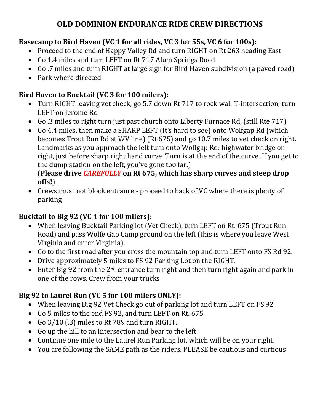# **OLD DOMINION ENDURANCE RIDE CREW DIRECTIONS**

## **Basecamp to Bird Haven (VC 1 for all rides, VC 3 for 55s, VC 6 for 100s):**

- Proceed to the end of Happy Valley Rd and turn RIGHT on Rt 263 heading East
- Go 1.4 miles and turn LEFT on Rt 717 Alum Springs Road
- Go .7 miles and turn RIGHT at large sign for Bird Haven subdivision (a paved road)
- Park where directed

## **Bird Haven to Bucktail (VC 3 for 100 milers):**

- Turn RIGHT leaving vet check, go 5.7 down Rt 717 to rock wall T-intersection; turn LEFT on Jerome Rd
- Go .3 miles to right turn just past church onto Liberty Furnace Rd, (still Rte 717)
- Go 4.4 miles, then make a SHARP LEFT (it's hard to see) onto Wolfgap Rd (which becomes Trout Run Rd at WV line) (Rt 675) and go 10.7 miles to vet check on right. Landmarks as you approach the left turn onto Wolfgap Rd: highwater bridge on right, just before sharp right hand curve. Turn is at the end of the curve. If you get to the dump station on the left, you've gone too far.)

#### (**Please drive** *CAREFULLY* **on Rt 675, which has sharp curves and steep drop offs!**)

• Crews must not block entrance - proceed to back of VC where there is plenty of parking

## **Bucktail to Big 92 (VC 4 for 100 milers):**

- When leaving Bucktail Parking lot (Vet Check), turn LEFT on Rt. 675 (Trout Run Road) and pass Wolfe Gap Camp ground on the left (this is where you leave West Virginia and enter Virginia).
- Go to the first road after you cross the mountain top and turn LEFT onto FS Rd 92.
- Drive approximately 5 miles to FS 92 Parking Lot on the RIGHT.
- Enter Big 92 from the  $2^{nd}$  entrance turn right and then turn right again and park in one of the rows. Crew from your trucks

# **Big 92 to Laurel Run (VC 5 for 100 milers ONLY):**

- When leaving Big 92 Vet Check go out of parking lot and turn LEFT on FS 92
- Go 5 miles to the end FS 92, and turn LEFT on Rt. 675.
- Go 3/10 (.3) miles to Rt 789 and turn RIGHT.
- Go up the hill to an intersection and bear to the left
- Continue one mile to the Laurel Run Parking lot, which will be on your right.
- You are following the SAME path as the riders. PLEASE be cautious and curtious